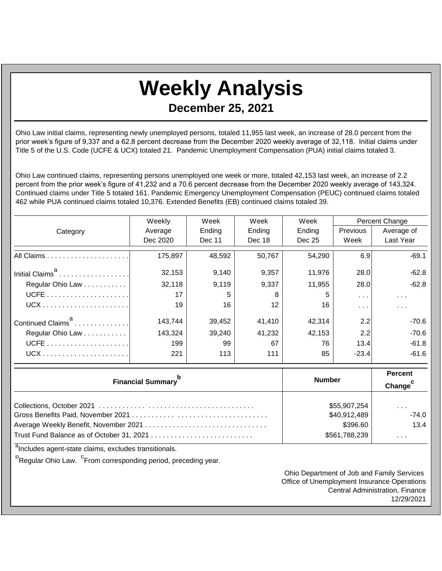## **Weekly Analysis**

**December 25, 2021**

Ohio Law initial claims, representing newly unemployed persons, totaled 11,955 last week, an increase of 28.0 percent from the prior week's figure of 9,337 and a 62.8 percent decrease from the December 2020 weekly average of 32,118. Initial claims under Title 5 of the U.S. Code (UCFE & UCX) totaled 21. Pandemic Unemployment Compensation (PUA) initial claims totaled 3.

Ohio Law continued claims, representing persons unemployed one week or more, totaled 42,153 last week, an increase of 2.2 percent from the prior week's figure of 41,232 and a 70.6 percent decrease from the December 2020 weekly average of 143,324. Continued claims under Title 5 totaled 161. Pandemic Emergency Unemployment Compensation (PEUC) continued claims totaled 462 while PUA continued claims totaled 10,376. Extended Benefits (EB) continued claims totaled 39.

|                               | Weekly   | Week   | Week   | Week   | Percent Change  |            |
|-------------------------------|----------|--------|--------|--------|-----------------|------------|
| Category                      | Average  | Ending | Ending | Ending | <b>Previous</b> | Average of |
|                               | Dec 2020 | Dec 11 | Dec 18 | Dec 25 | Week            | Last Year  |
|                               | 175,897  | 48,592 | 50,767 | 54.290 | 6.9             | $-69.1$    |
| Initial Claims <sup>a</sup>   | 32,153   | 9,140  | 9,357  | 11,976 | 28.0            | $-62.8$    |
| Regular Ohio Law              | 32,118   | 9,119  | 9,337  | 11,955 | 28.0            | $-62.8$    |
|                               | 17       | 5.     | 8      | 5      | $\cdots$        | $\cdots$   |
|                               | 19       | 16     | 12     | 16     | .               | $\cdots$   |
| Continued Claims <sup>a</sup> | 143.744  | 39,452 | 41,410 | 42,314 | 2.2             | $-70.6$    |
| Regular Ohio Law              | 143,324  | 39,240 | 41,232 | 42,153 | 2.2             | $-70.6$    |
|                               | 199      | 99     | 67     | 76     | 13.4            | $-61.8$    |
|                               | 221      | 113    | 111    | 85     | $-23.4$         | $-61.6$    |

| <b>Financial Summary</b> <sup>p</sup> | <b>Number</b> | <b>Percent</b><br>Change <sup>c</sup> |
|---------------------------------------|---------------|---------------------------------------|
|                                       | \$55,907,254  | $\sim$ $\sim$ $\sim$                  |
|                                       | \$40,912,489  | $-74.0$                               |
|                                       | \$396.60      | 13.4                                  |
|                                       | \$561,788,239 | $\cdots$                              |

<sup>a</sup>Includes agent-state claims, excludes transitionals.

<sup>b</sup>Regular Ohio Law. <sup>C</sup>From corresponding period, preceding year.

Ohio Department of Job and Family Services Office of Unemployment Insurance Operations Central Administration, Finance 12/29/2021